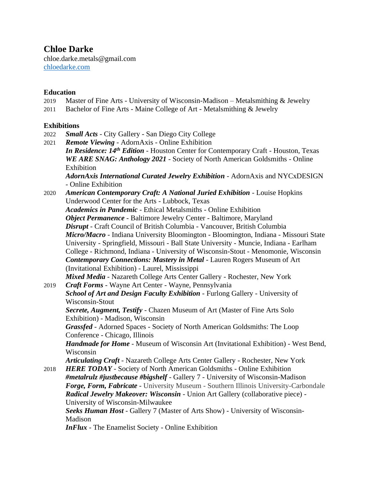# **Chloe Darke**

chloe.darke.metals@gmail.com [chloedarke.com](https://chloedarke.com/home.html)

# **Education**

- 2019 Master of Fine Arts University of Wisconsin-Madison Metalsmithing & Jewelry
- 2011 Bachelor of Fine Arts Maine College of Art Metalsmithing & Jewelry

# **Exhibitions**

- 2022 *Small Acts* City Gallery San Diego City College
- 2021 *Remote Viewing*  AdornAxis Online Exhibition *In Residence: 14th Edition* - Houston Center for Contemporary Craft - Houston, Texas *WE ARE SNAG: Anthology 2021* - Society of North American Goldsmiths - Online Exhibition *AdornAxis International Curated Jewelry Exhibition* - AdornAxis and NYCxDESIGN - Online Exhibition
- 2020 *American Contemporary Craft: A National Juried Exhibition*  Louise Hopkins Underwood Center for the Arts - Lubbock, Texas

*Academics in Pandemic* - Ethical Metalsmiths - Online Exhibition *Object Permanence* - Baltimore Jewelry Center - Baltimore, Maryland *Disrupt* - Craft Council of British Columbia - Vancouver, British Columbia *Micro/Macro* - Indiana University Bloomington - Bloomington, Indiana - Missouri State University - Springfield, Missouri - Ball State University - Muncie, Indiana - Earlham College - Richmond, Indiana - University of Wisconsin-Stout - Menomonie, Wisconsin *Contemporary Connections: Mastery in Metal* - Lauren Rogers Museum of Art (Invitational Exhibition) - Laurel, Mississippi

*Mixed Media* - Nazareth College Arts Center Gallery - Rochester, New York

2019 *Craft Forms* - Wayne Art Center - Wayne, Pennsylvania *School of Art and Design Faculty Exhibition* - Furlong Gallery - University of Wisconsin-Stout *Secrete, Augment, Testify* - Chazen Museum of Art (Master of Fine Arts Solo

Exhibition) - Madison, Wisconsin

*Grassfed* - Adorned Spaces - Society of North American Goldsmiths: The Loop Conference - Chicago, Illinois

*Handmade for Home* - Museum of Wisconsin Art (Invitational Exhibition) - West Bend, Wisconsin

*Articulating Craft* - Nazareth College Arts Center Gallery - Rochester, New York 2018 *HERE TODAY* - Society of North American Goldsmiths - Online Exhibition

*#metalrulz #justbecause #bigshelf* - Gallery 7 - University of Wisconsin-Madison *Forge, Form, Fabricate* - University Museum - Southern Illinois University-Carbondale *Radical Jewelry Makeover: Wisconsin* - Union Art Gallery (collaborative piece) - University of Wisconsin-Milwaukee

*Seeks Human Host* - Gallery 7 (Master of Arts Show) - University of Wisconsin-Madison

*InFlux* - The Enamelist Society - Online Exhibition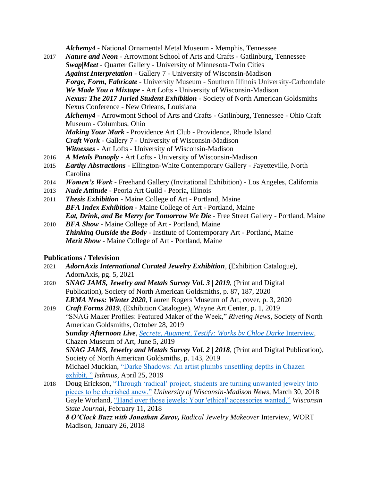*Alchemy4* - National Ornamental Metal Museum - Memphis, Tennessee

- 2017 *Nature and Neon*  Arrowmont School of Arts and Crafts Gatlinburg, Tennessee *Swap|Meet* - Quarter Gallery - University of Minnesota-Twin Cities *Against Interpretation* - Gallery 7 - University of Wisconsin-Madison *Forge, Form, Fabricate* - University Museum - Southern Illinois University-Carbondale *We Made You a Mixtape* - Art Lofts - University of Wisconsin-Madison *Nexus: The 2017 Juried Student Exhibition* - Society of North American Goldsmiths Nexus Conference - New Orleans, Louisiana *Alchemy4* - Arrowmont School of Arts and Crafts - Gatlinburg, Tennessee - Ohio Craft Museum - Columbus, Ohio *Making Your Mark* - Providence Art Club - Providence, Rhode Island *Craft Work* - Gallery 7 - University of Wisconsin-Madison *Witnesses* - Art Lofts - University of Wisconsin-Madison 2016 *A Metals Panoply* - Art Lofts - University of Wisconsin-Madison
- 2015 *Earthy Abstractions* Ellington-White Contemporary Gallery Fayetteville, North Carolina
- 2014 *Women's Work*  Freehand Gallery (Invitational Exhibition) Los Angeles, California
- 2013 *Nude Attitude*  Peoria Art Guild Peoria, Illinois
- 2011 *Thesis Exhibition* Maine College of Art Portland, Maine *BFA Index Exhibition* - Maine College of Art - Portland, Maine *Eat, Drink, and Be Merry for Tomorrow We Die* - Free Street Gallery - Portland, Maine
- 2010 *BFA Show* Maine College of Art Portland, Maine *Thinking Outside the Body* - Institute of Contemporary Art - Portland, Maine *Merit Show* - Maine College of Art - Portland, Maine

# **Publications / Television**

- 2021 *AdornAxis International Curated Jewelry Exhibition*, (Exhibition Catalogue), AdornAxis, pg. 5, 2021
- 2020 *SNAG JAMS, Jewelry and Metals Survey Vol. 3 | 2019*, (Print and Digital Publication), Society of North American Goldsmiths, p. 87, 187, 2020 *LRMA News: Winter 2020*, Lauren Rogers Museum of Art, cover, p. 3, 2020
- 2019 *Craft Forms 2019*, (Exhibition Catalogue), Wayne Art Center, p. 1, 2019 "SNAG Maker Profiles: Featured Maker of the Week," *Riveting News*, Society of North American Goldsmiths, October 28, 2019 **Sunday Afternoon Live**, *[Secrete, Augment, Testify: Works by Chloe Darke](https://www.chazen.wisc.edu/images/uploads/Files/6-2-19.mp3) Interview,* Chazen Museum of Art, June 5, 2019 *SNAG JAMS, Jewelry and Metals Survey Vol. 2 | 2018*, (Print and Digital Publication), Society of North American Goldsmiths, p. 143, 2019 Michael Muckian, ["Darke Shadows: An artist plumbs unsettling depths in Chazen](https://isthmus.com/arts/visual-arts/macabre-metal-works-chloe-darke/) [exhibit, "](https://isthmus.com/arts/visual-arts/macabre-metal-works-chloe-darke/) *Isthmus*, April 25, 2019
- 2018 Doug Erickson, ["Through 'radical' project, students are turning unwanted jewelry into](https://news.wisc.edu/through-radical-project-students-are-turning-unwanted-%20jewelry%20%20%20into-pieces-to-be-cherished-anew/)  [pieces to be cherished anew,"](https://news.wisc.edu/through-radical-project-students-are-turning-unwanted-%20jewelry%20%20%20into-pieces-to-be-cherished-anew/) *University of Wisconsin-Madison News*, March 30, 2018 Gayle Worland, ["Hand over those jewels: Your 'ethical' accessories wanted,"](https://madison.com/wsj/entertainment/arts-and-theatre/hand-over-those-jewels-your-ethical-accessories-wanted/article_e1efb98d-3ab3-58d8-ac2a-c990bcc359a6.html) *Wisconsin State Journal*, February 11, 2018

*8 O'Clock Buzz with Jonathan Zarov, Radical Jewelry Makeover* Interview*,* WORT Madison, January 26, 2018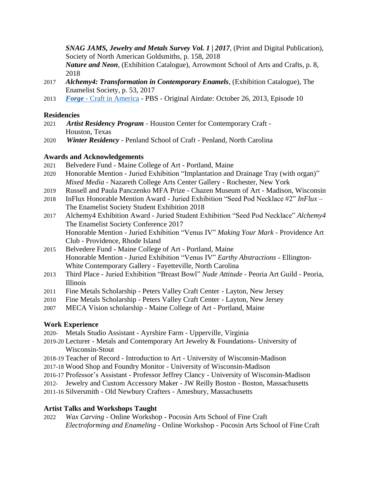*SNAG JAMS, Jewelry and Metals Survey Vol. 1 | 2017*, (Print and Digital Publication), Society of North American Goldsmiths, p. 158, 2018

*Nature and Neon*, (Exhibition Catalogue), Arrowmont School of Arts and Crafts, p. 8, 2018

- 2017 *Alchemy4: Transformation in Contemporary Enamels*, (Exhibition Catalogue), The Enamelist Society, p. 53, 2017
- 2013 *Forge*  [Craft in America](http://www.craftinamerica.org/episodes/forge/) PBS Original Airdate: October 26, 2013, Episode 10

### **Residencies**

- 2021 *Artist Residency Program*  Houston Center for Contemporary Craft Houston, Texas
- 2020 *Winter Residency*  Penland School of Craft Penland, North Carolina

## **Awards and Acknowledgements**

- 2021 Belvedere Fund Maine College of Art Portland, Maine
- 2020 Honorable Mention Juried Exhibition "Implantation and Drainage Tray (with organ)" *Mixed Media* - Nazareth College Arts Center Gallery - Rochester, New York
- 2019 Russell and Paula Panczenko MFA Prize Chazen Museum of Art Madison, Wisconsin
- 2018 InFlux Honorable Mention Award Juried Exhibition "Seed Pod Necklace #2" *InFlux*  The Enamelist Society Student Exhibition 2018
- 2017 Alchemy4 Exhibition Award Juried Student Exhibition "Seed Pod Necklace" *Alchemy4* The Enamelist Society Conference 2017 Honorable Mention - Juried Exhibition "Venus IV" *Making Your Mark* - Providence Art Club - Providence, Rhode Island
- 2015 Belvedere Fund Maine College of Art Portland, Maine Honorable Mention - Juried Exhibition "Venus IV" *Earthy Abstractions* - Ellington-White Contemporary Gallery - Fayetteville, North Carolina
- 2013 Third Place Juried Exhibition "Breast Bowl" *Nude Attitude*  Peoria Art Guild Peoria, Illinois
- 2011 Fine Metals Scholarship Peters Valley Craft Center Layton, New Jersey
- 2010 Fine Metals Scholarship Peters Valley Craft Center Layton, New Jersey
- 2007 MECA Vision scholarship Maine College of Art Portland, Maine

## **Work Experience**

2020- Metals Studio Assistant - Ayrshire Farm - Upperville, Virginia

- 2019-20 Lecturer Metals and Contemporary Art Jewelry & Foundations- University of Wisconsin-Stout
- 2018-19 Teacher of Record Introduction to Art University of Wisconsin-Madison
- 2017-18 Wood Shop and Foundry Monitor University of Wisconsin-Madison
- 2016-17 Professor's Assistant Professor Jeffrey Clancy University of Wisconsin-Madison
- 2012- Jewelry and Custom Accessory Maker JW Reilly Boston Boston, Massachusetts
- 2011-16 Silversmith Old Newbury Crafters Amesbury, Massachusetts

## **Artist Talks and Workshops Taught**

2022 *Wax Carving* - Online Workshop - Pocosin Arts School of Fine Craft *Electroforming and Enameling* - Online Workshop - Pocosin Arts School of Fine Craft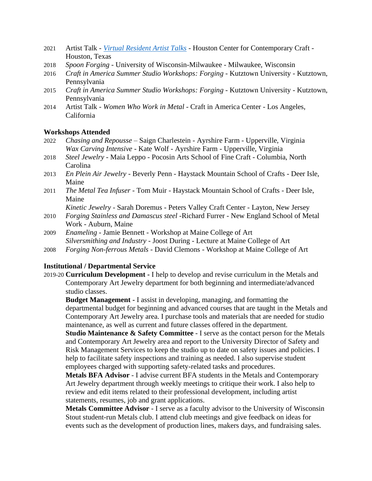- 2021 Artist Talk *[Virtual Resident Artist Talks](https://www.facebook.com/watch/live/?v=534513344529756&ref=watch_permalink)* Houston Center for Contemporary Craft Houston, Texas
- 2018 *Spoon Forging* University of Wisconsin-Milwaukee Milwaukee, Wisconsin
- 2016 *Craft in America Summer Studio Workshops: Forging* Kutztown University Kutztown, Pennsylvania
- 2015 *Craft in America Summer Studio Workshops: Forging* Kutztown University Kutztown, Pennsylvania
- 2014 Artist Talk *Women Who Work in Metal*  Craft in America Center Los Angeles, California

#### **Workshops Attended**

- 2022 *Chasing and Repousse*  Saign Charlestein Ayrshire Farm Upperville, Virginia *Wax Carving Intensive* - Kate Wolf - Ayrshire Farm - Upperville, Virginia
- 2018 *Steel Jewelry -* Maia Leppo Pocosin Arts School of Fine Craft Columbia, North Carolina
- 2013 *En Plein Air Jewelry*  Beverly Penn Haystack Mountain School of Crafts Deer Isle, Maine
- 2011 *The Metal Tea Infuser -* Tom Muir Haystack Mountain School of Crafts Deer Isle, Maine

*Kinetic Jewelry* - Sarah Doremus - Peters Valley Craft Center - Layton, New Jersey

- 2010 *Forging Stainless and Damascus steel* -Richard Furrer New England School of Metal Work - Auburn, Maine
- 2009 *Enameling* Jamie Bennett Workshop at Maine College of Art *Silversmithing and Industry* - Joost During - Lecture at Maine College of Art
- 2008 *Forging Non-ferrous Metals*  David Clemons Workshop at Maine College of Art

#### **Institutional / Departmental Service**

2019-20 **Curriculum Development -** I help to develop and revise curriculum in the Metals and Contemporary Art Jewelry department for both beginning and intermediate/advanced studio classes.

**Budget Management -** I assist in developing, managing, and formatting the departmental budget for beginning and advanced courses that are taught in the Metals and Contemporary Art Jewelry area. I purchase tools and materials that are needed for studio maintenance, as well as current and future classes offered in the department.

**Studio Maintenance & Safety Committee** - I serve as the contact person for the Metals and Contemporary Art Jewelry area and report to the University Director of Safety and Risk Management Services to keep the studio up to date on safety issues and policies. I help to facilitate safety inspections and training as needed. I also supervise student employees charged with supporting safety-related tasks and procedures.

**Metals BFA Advisor** - I advise current BFA students in the Metals and Contemporary Art Jewelry department through weekly meetings to critique their work. I also help to review and edit items related to their professional development, including artist statements, resumes, job and grant applications.

**Metals Committee Advisor** - I serve as a faculty advisor to the University of Wisconsin Stout student-run Metals club. I attend club meetings and give feedback on ideas for events such as the development of production lines, makers days, and fundraising sales.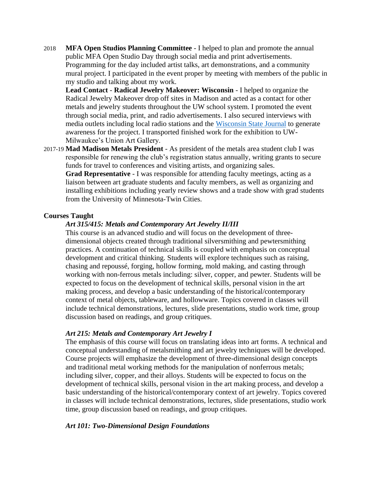2018 **MFA Open Studios Planning Committee** - I helped to plan and promote the annual public MFA Open Studio Day through social media and print advertisements. Programming for the day included artist talks, art demonstrations, and a community mural project. I participated in the event proper by meeting with members of the public in my studio and talking about my work.

**Lead Contact** - **Radical Jewelry Makeover: Wisconsin** - I helped to organize the Radical Jewelry Makeover drop off sites in Madison and acted as a contact for other metals and jewelry students throughout the UW school system. I promoted the event through social media, print, and radio advertisements. I also secured interviews with media outlets including local radio stations and the [Wisconsin State Journal](https://madison.com/wsj/entertainment/arts-and-theatre/hand-over-those-jewels-your-ethical-accessories-wanted/article_e1efb98d-3ab3-58d8-ac2a-c990bcc359a6.html) to generate awareness for the project. I transported finished work for the exhibition to UW-Milwaukee's Union Art Gallery.

2017-19 **Mad Madison Metals President** - As president of the metals area student club I was responsible for renewing the club's registration status annually, writing grants to secure funds for travel to conferences and visiting artists, and organizing sales. **Grad Representative** - I was responsible for attending faculty meetings, acting as a

liaison between art graduate students and faculty members, as well as organizing and installing exhibitions including yearly review shows and a trade show with grad students from the University of Minnesota-Twin Cities.

#### **Courses Taught**

#### *Art 315/415: Metals and Contemporary Art Jewelry II/III*

This course is an advanced studio and will focus on the development of threedimensional objects created through traditional silversmithing and pewtersmithing practices. A continuation of technical skills is coupled with emphasis on conceptual development and critical thinking. Students will explore techniques such as raising, chasing and repoussé, forging, hollow forming, mold making, and casting through working with non-ferrous metals including: silver, copper, and pewter. Students will be expected to focus on the development of technical skills, personal vision in the art making process, and develop a basic understanding of the historical/contemporary context of metal objects, tableware, and hollowware. Topics covered in classes will include technical demonstrations, lectures, slide presentations, studio work time, group discussion based on readings, and group critiques.

#### *Art 215: Metals and Contemporary Art Jewelry I*

The emphasis of this course will focus on translating ideas into art forms. A technical and conceptual understanding of metalsmithing and art jewelry techniques will be developed. Course projects will emphasize the development of three-dimensional design concepts and traditional metal working methods for the manipulation of nonferrous metals; including silver, copper, and their alloys. Students will be expected to focus on the development of technical skills, personal vision in the art making process, and develop a basic understanding of the historical/contemporary context of art jewelry. Topics covered in classes will include technical demonstrations, lectures, slide presentations, studio work time, group discussion based on readings, and group critiques.

#### *Art 101: Two-Dimensional Design Foundations*